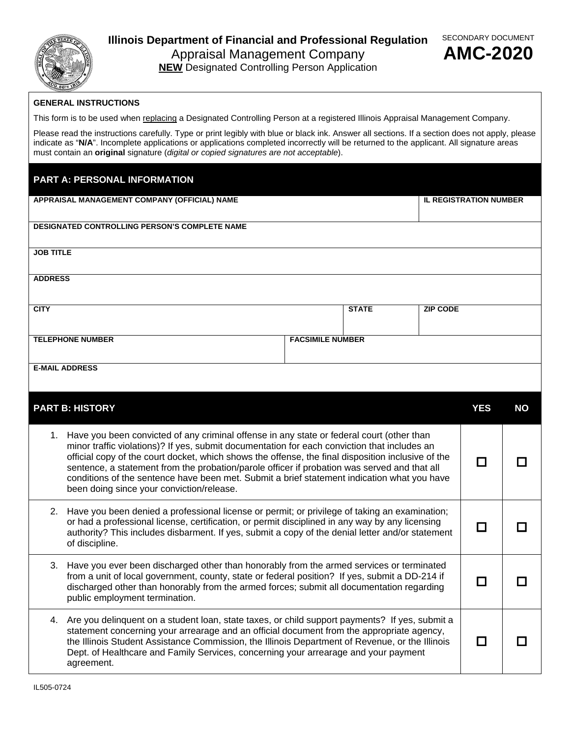

## **Illinois Department of Financial and Professional Regulation**  Appraisal Management Company



**NEW** Designated Controlling Person Application

## **GENERAL INSTRUCTIONS**

This form is to be used when replacing a Designated Controlling Person at a registered Illinois Appraisal Management Company.

Please read the instructions carefully. Type or print legibly with blue or black ink. Answer all sections. If a section does not apply, please indicate as "**N/A**". Incomplete applications or applications completed incorrectly will be returned to the applicant. All signature areas must contain an **original** signature (*digital or copied signatures are not acceptable*).

## **PART A: PERSONAL INFORMATION**

| APPRAISAL MANAGEMENT COMPANY (OFFICIAL) NAME         |                                                                                                                                                                                                                                                                                                                                                                                                                                                                                                                                                |  | <b>IL REGISTRATION NUMBER</b> |                 |            |           |  |  |
|------------------------------------------------------|------------------------------------------------------------------------------------------------------------------------------------------------------------------------------------------------------------------------------------------------------------------------------------------------------------------------------------------------------------------------------------------------------------------------------------------------------------------------------------------------------------------------------------------------|--|-------------------------------|-----------------|------------|-----------|--|--|
| <b>DESIGNATED CONTROLLING PERSON'S COMPLETE NAME</b> |                                                                                                                                                                                                                                                                                                                                                                                                                                                                                                                                                |  |                               |                 |            |           |  |  |
| <b>JOB TITLE</b>                                     |                                                                                                                                                                                                                                                                                                                                                                                                                                                                                                                                                |  |                               |                 |            |           |  |  |
| <b>ADDRESS</b>                                       |                                                                                                                                                                                                                                                                                                                                                                                                                                                                                                                                                |  |                               |                 |            |           |  |  |
| <b>CITY</b>                                          |                                                                                                                                                                                                                                                                                                                                                                                                                                                                                                                                                |  | <b>STATE</b>                  | <b>ZIP CODE</b> |            |           |  |  |
| <b>TELEPHONE NUMBER</b><br><b>FACSIMILE NUMBER</b>   |                                                                                                                                                                                                                                                                                                                                                                                                                                                                                                                                                |  |                               |                 |            |           |  |  |
|                                                      | <b>E-MAIL ADDRESS</b>                                                                                                                                                                                                                                                                                                                                                                                                                                                                                                                          |  |                               |                 |            |           |  |  |
|                                                      | <b>PART B: HISTORY</b>                                                                                                                                                                                                                                                                                                                                                                                                                                                                                                                         |  |                               |                 | <b>YES</b> | <b>NO</b> |  |  |
|                                                      | 1. Have you been convicted of any criminal offense in any state or federal court (other than<br>minor traffic violations)? If yes, submit documentation for each conviction that includes an<br>official copy of the court docket, which shows the offense, the final disposition inclusive of the<br>sentence, a statement from the probation/parole officer if probation was served and that all<br>conditions of the sentence have been met. Submit a brief statement indication what you have<br>been doing since your conviction/release. |  |                               |                 | $\Box$     |           |  |  |
|                                                      | 2. Have you been denied a professional license or permit; or privilege of taking an examination;<br>or had a professional license, certification, or permit disciplined in any way by any licensing<br>authority? This includes disbarment. If yes, submit a copy of the denial letter and/or statement<br>of discipline.                                                                                                                                                                                                                      |  |                               |                 | $\Box$     |           |  |  |
|                                                      | 3. Have you ever been discharged other than honorably from the armed services or terminated<br>from a unit of local government, county, state or federal position? If yes, submit a DD-214 if<br>discharged other than honorably from the armed forces: submit all documentation regarding                                                                                                                                                                                                                                                     |  |                               |                 | $\Box$     |           |  |  |

|  | public employment termination.                                                                                                                                                                                                                                                                                                                                                                         |  |
|--|--------------------------------------------------------------------------------------------------------------------------------------------------------------------------------------------------------------------------------------------------------------------------------------------------------------------------------------------------------------------------------------------------------|--|
|  | 4. Are you delinguent on a student loan, state taxes, or child support payments? If yes, submit a<br>statement concerning your arrearage and an official document from the appropriate agency,<br>the Illinois Student Assistance Commission, the Illinois Department of Revenue, or the Illinois<br>Dept. of Healthcare and Family Services, concerning your arrearage and your payment<br>agreement. |  |

discharged other than honorably from the armed forces; submit all documentation regarding